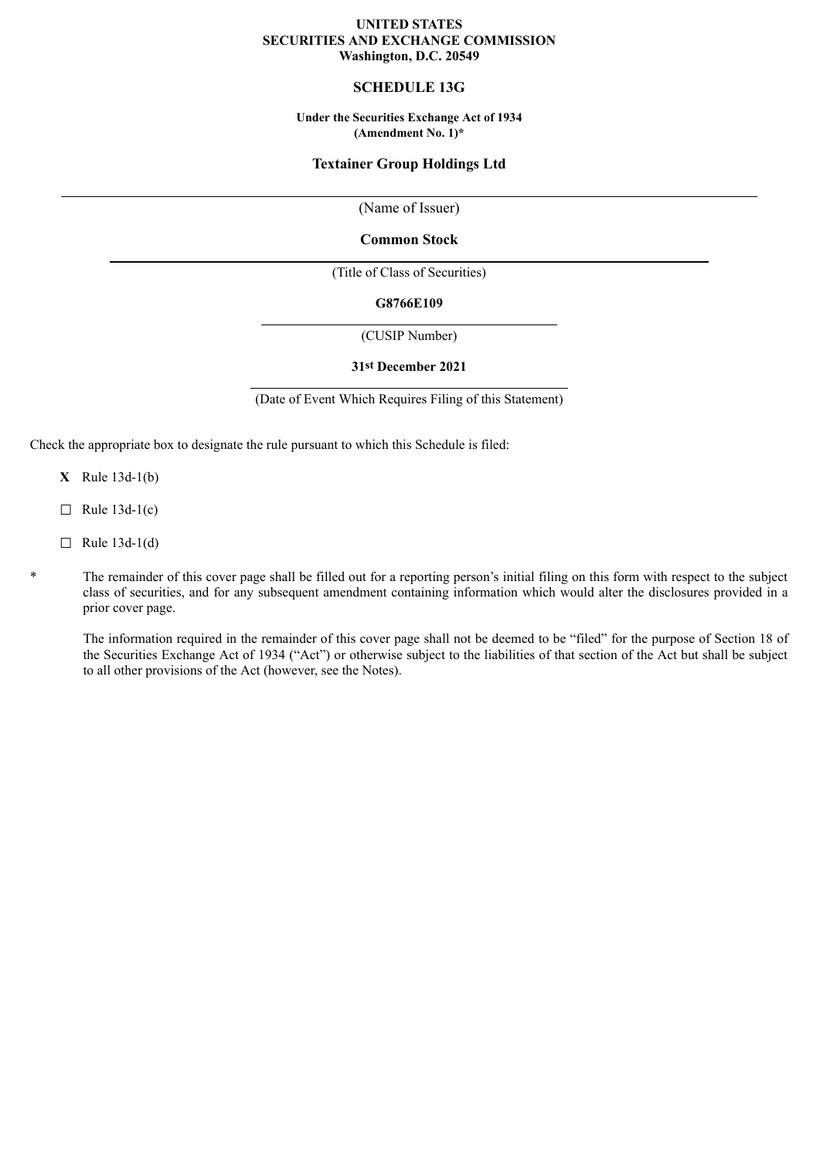### **UNITED STATES SECURITIES AND EXCHANGE COMMISSION Washington, D.C. 20549**

# **SCHEDULE 13G**

**Under the Securities Exchange Act of 1934 (Amendment No. 1)\***

## **Textainer Group Holdings Ltd**

(Name of Issuer)

### **Common Stock**

(Title of Class of Securities)

#### **G8766E109**

(CUSIP Number)

#### **31st December 2021**

(Date of Event Which Requires Filing of this Statement)

Check the appropriate box to designate the rule pursuant to which this Schedule is filed:

- **X** Rule 13d-1(b)
- $\Box$  Rule 13d-1(c)
- $\Box$  Rule 13d-1(d)
- \* The remainder of this cover page shall be filled out for a reporting person's initial filing on this form with respect to the subject class of securities, and for any subsequent amendment containing information which would alter the disclosures provided in a prior cover page.

The information required in the remainder of this cover page shall not be deemed to be "filed" for the purpose of Section 18 of the Securities Exchange Act of 1934 ("Act") or otherwise subject to the liabilities of that section of the Act but shall be subject to all other provisions of the Act (however, see the Notes).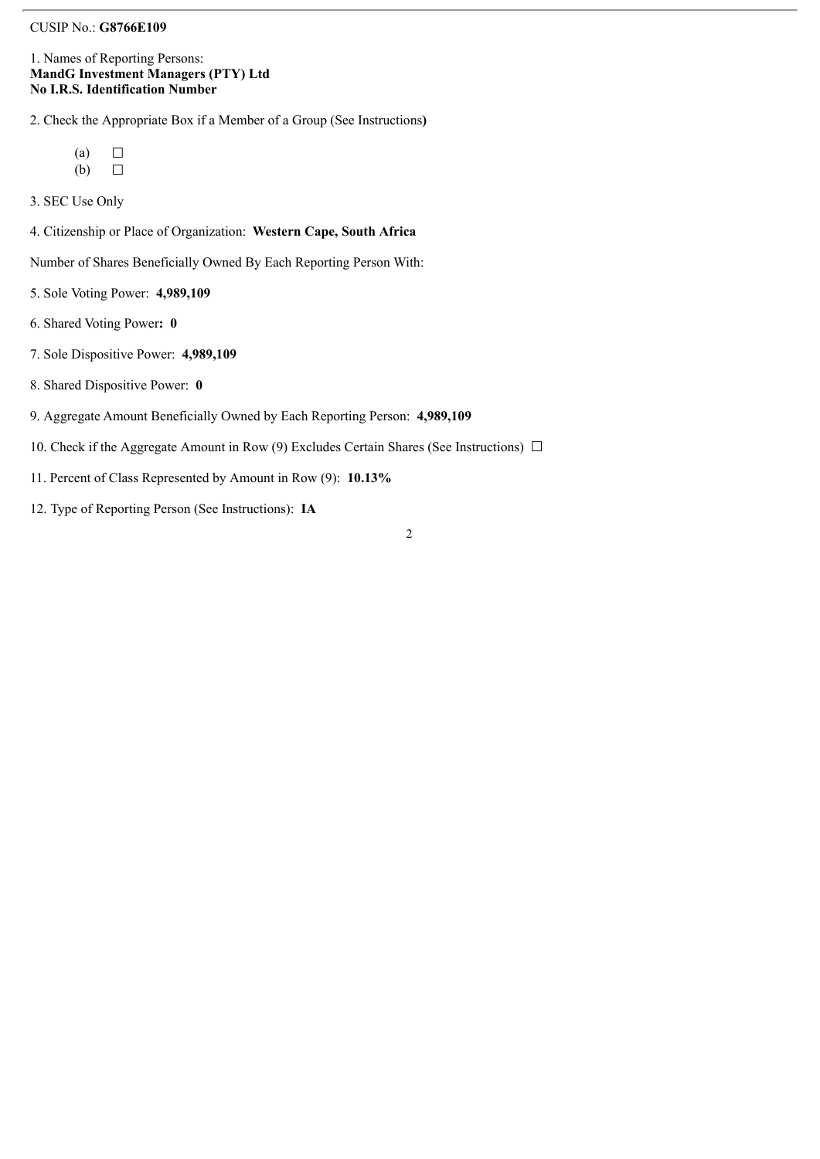### CUSIP No.: **G8766E109**

### 1. Names of Reporting Persons: **MandG Investment Managers (PTY) Ltd No I.R.S. Identification Number**

2. Check the Appropriate Box if a Member of a Group (See Instructions**)**

 $(a)$   $\Box$  $(b)$   $\Box$ 

3. SEC Use Only

4. Citizenship or Place of Organization: **Western Cape, South Africa**

Number of Shares Beneficially Owned By Each Reporting Person With:

- 5. Sole Voting Power: **4,989,109**
- 6. Shared Voting Power**: 0**
- 7. Sole Dispositive Power: **4,989,109**
- 8. Shared Dispositive Power: **0**
- 9. Aggregate Amount Beneficially Owned by Each Reporting Person: **4,989,109**
- 10. Check if the Aggregate Amount in Row (9) Excludes Certain Shares (See Instructions)  $\Box$
- 11. Percent of Class Represented by Amount in Row (9): **10.13%**
- 12. Type of Reporting Person (See Instructions): **IA**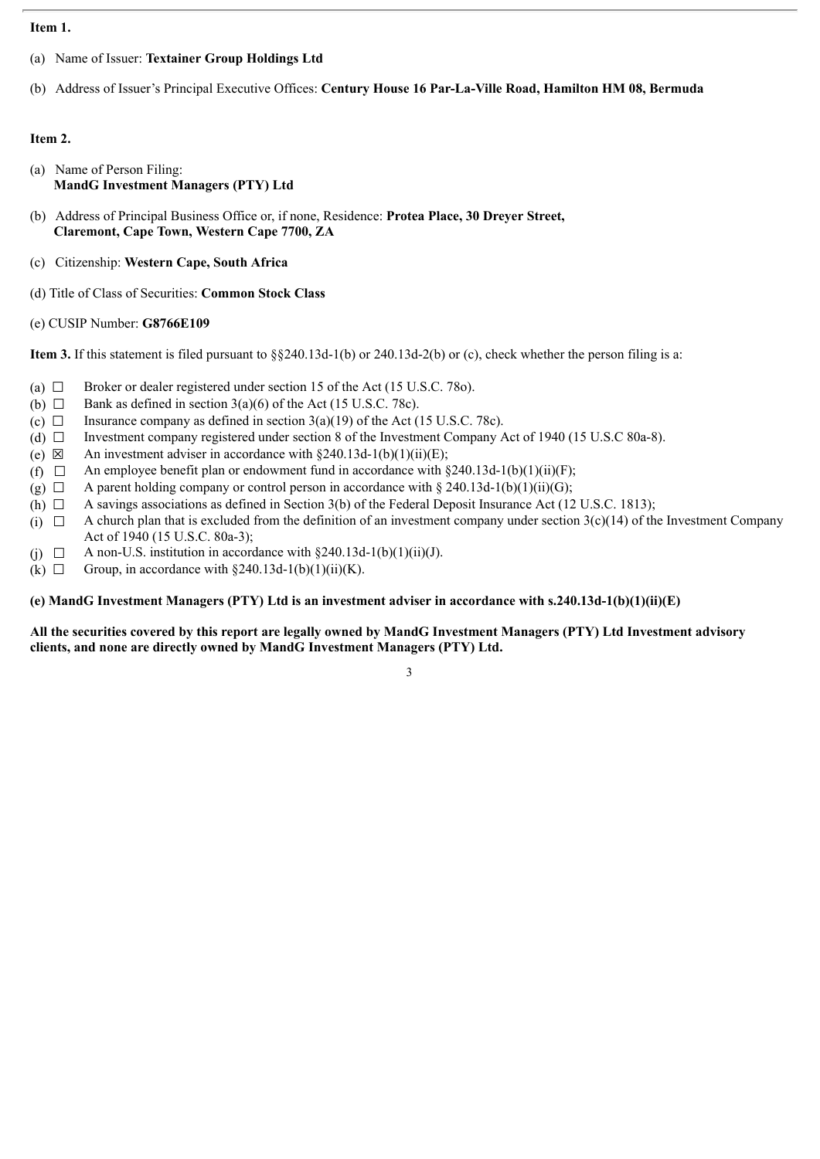### **Item 1.**

- (a) Name of Issuer: **Textainer Group Holdings Ltd**
- (b) Address of Issuer's Principal Executive Offices: **Century House 16 Par-La-Ville Road, Hamilton HM 08, Bermuda**

## **Item 2.**

- (a) Name of Person Filing: **MandG Investment Managers (PTY) Ltd**
- (b) Address of Principal Business Office or, if none, Residence: **Protea Place, 30 Dreyer Street, Claremont, Cape Town, Western Cape 7700, ZA**
- (c) Citizenship: **Western Cape, South Africa**
- (d) Title of Class of Securities: **Common Stock Class**

## (e) CUSIP Number: **G8766E109**

**Item 3.** If this statement is filed pursuant to §§240.13d-1(b) or 240.13d-2(b) or (c), check whether the person filing is a:

- (a)  $\Box$  Broker or dealer registered under section 15 of the Act (15 U.S.C. 780).
- (b)  $\Box$  Bank as defined in section 3(a)(6) of the Act (15 U.S.C. 78c).
- 
- (c)  $\Box$  Insurance company as defined in section 3(a)(19) of the Act (15 U.S.C. 78c).<br>(d)  $\Box$  Investment company registered under section 8 of the Investment Company *P* Investment company registered under section 8 of the Investment Company Act of 1940 (15 U.S.C 80a-8).
- (e)  $\boxtimes$  An investment adviser in accordance with §240.13d-1(b)(1)(ii)(E);
- (f)  $\Box$  An employee benefit plan or endowment fund in accordance with §240.13d-1(b)(1)(ii)(F);
- (g)  $\Box$  A parent holding company or control person in accordance with § 240.13d-1(b)(1)(ii)(G);
- (h)  $\Box$  A savings associations as defined in Section 3(b) of the Federal Deposit Insurance Act (12 U.S.C. 1813);
- (i)  $\Box$  A church plan that is excluded from the definition of an investment company under section 3(c)(14) of the Investment Company Act of 1940 (15 U.S.C. 80a-3);
- (i)  $\Box$  A non-U.S. institution in accordance with §240.13d-1(b)(1)(ii)(J).
- (k)  $\Box$  Group, in accordance with §240.13d-1(b)(1)(ii)(K).

#### **(e) MandG Investment Managers (PTY) Ltd is an investment adviser in accordance with s.240.13d-1(b)(1)(ii)(E)**

### All the securities covered by this report are legally owned by MandG Investment Managers (PTY) Ltd Investment advisory **clients, and none are directly owned by MandG Investment Managers (PTY) Ltd.**

3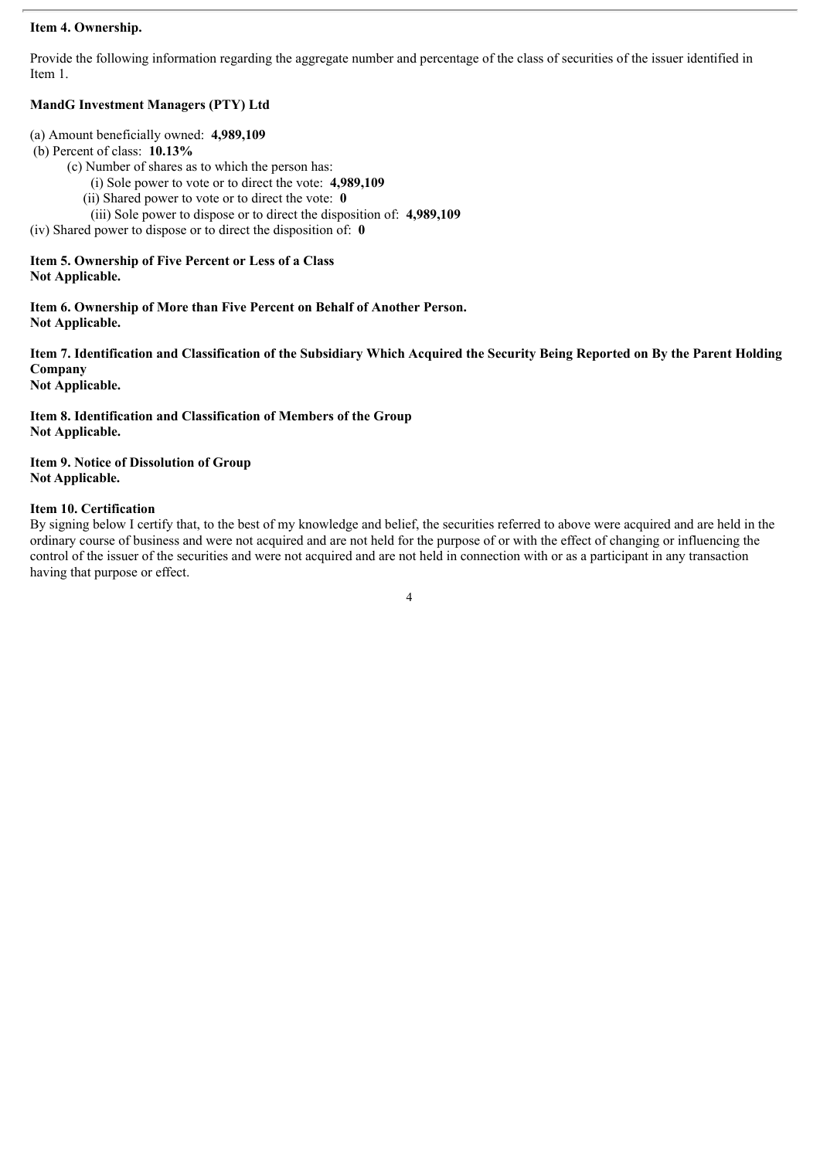### **Item 4. Ownership.**

Provide the following information regarding the aggregate number and percentage of the class of securities of the issuer identified in Item 1.

# **MandG Investment Managers (PTY) Ltd**

- (a) Amount beneficially owned: **4,989,109**
- (b) Percent of class: **10.13%**
	- (c) Number of shares as to which the person has:
		- (i) Sole power to vote or to direct the vote: **4,989,109**
		- (ii) Shared power to vote or to direct the vote: **0**
	- (iii) Sole power to dispose or to direct the disposition of: **4,989,109**

(iv) Shared power to dispose or to direct the disposition of: **0**

## **Item 5. Ownership of Five Percent or Less of a Class Not Applicable.**

**Item 6. Ownership of More than Five Percent on Behalf of Another Person. Not Applicable.**

Item 7. Identification and Classification of the Subsidiary Which Acquired the Security Being Reported on By the Parent Holding **Company**

**Not Applicable.**

**Item 8. Identification and Classification of Members of the Group Not Applicable.**

**Item 9. Notice of Dissolution of Group Not Applicable.**

## **Item 10. Certification**

By signing below I certify that, to the best of my knowledge and belief, the securities referred to above were acquired and are held in the ordinary course of business and were not acquired and are not held for the purpose of or with the effect of changing or influencing the control of the issuer of the securities and were not acquired and are not held in connection with or as a participant in any transaction having that purpose or effect.